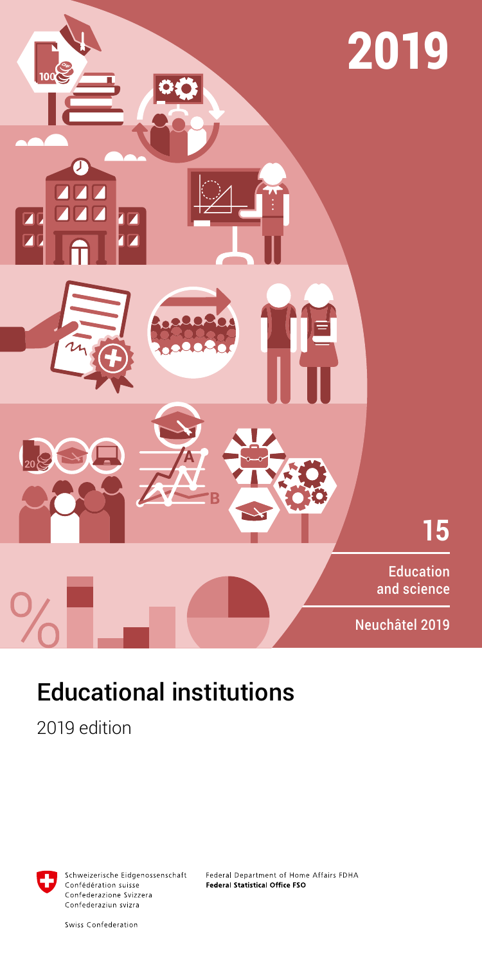

# Educational institutions

2019 edition



Schweizerische Eidgenossenschaft Confédération suisse Confederazione Svizzera Confederaziun svizra

Federal Department of Home Affairs FDHA Federal Statistical Office FSO

Swiss Confederation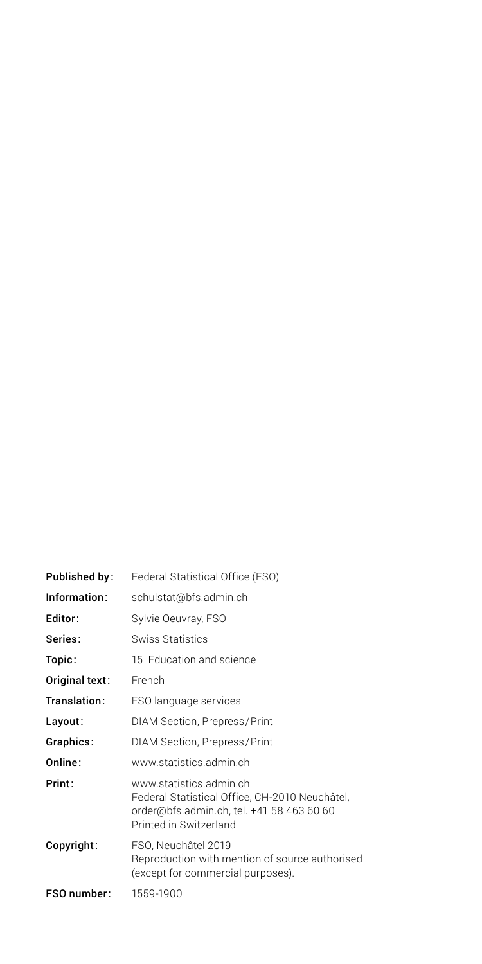| Published by:  | Federal Statistical Office (FSO)                                                                                                                 |
|----------------|--------------------------------------------------------------------------------------------------------------------------------------------------|
| Information:   | schulstat@bfs.admin.ch                                                                                                                           |
| Editor:        | Sylvie Oeuvray, FSO                                                                                                                              |
| Series:        | Swiss Statistics                                                                                                                                 |
| Topic:         | 15 Education and science                                                                                                                         |
| Original text: | French                                                                                                                                           |
| Translation:   | FSO language services                                                                                                                            |
| Layout:        | DIAM Section, Prepress/Print                                                                                                                     |
| Graphics:      | DIAM Section, Prepress/Print                                                                                                                     |
| Online:        | www.statistics.admin.ch                                                                                                                          |
| Print:         | www.statistics.admin.ch<br>Federal Statistical Office, CH-2010 Neuchâtel,<br>order@bfs.admin.ch, tel. +41 58 463 60 60<br>Printed in Switzerland |
| Copyright:     | FSO, Neuchâtel 2019<br>Reproduction with mention of source authorised<br>(except for commercial purposes).                                       |
| FSO number:    | 1559-1900                                                                                                                                        |
|                |                                                                                                                                                  |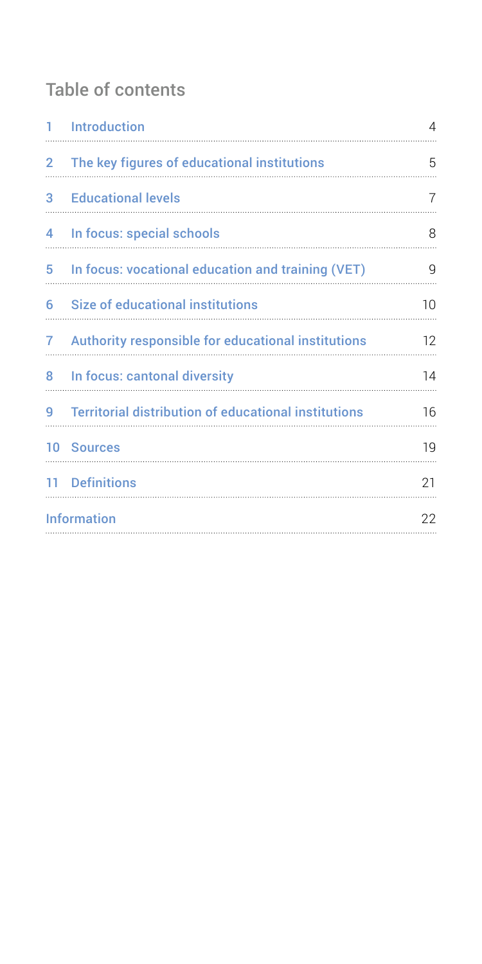# Table of contents

|                      | 1 Introduction                                       | 4       |
|----------------------|------------------------------------------------------|---------|
| $\mathbf{2}^{\circ}$ | The key figures of educational institutions          | 5       |
|                      | <b>3</b> Educational levels                          | 7       |
| 4                    | In focus: special schools                            | 8       |
|                      | 5 In focus: vocational education and training (VET)  | g       |
|                      | 6 Size of educational institutions                   | $10 \,$ |
| $\mathbf{7}$         | Authority responsible for educational institutions   | 12      |
|                      | 8 In focus: cantonal diversity                       | 14      |
| 9                    | Territorial distribution of educational institutions | 16      |
|                      | 10 Sources                                           | 19      |
|                      | 11 Definitions                                       | 21      |
|                      | <b>Information</b>                                   | 22      |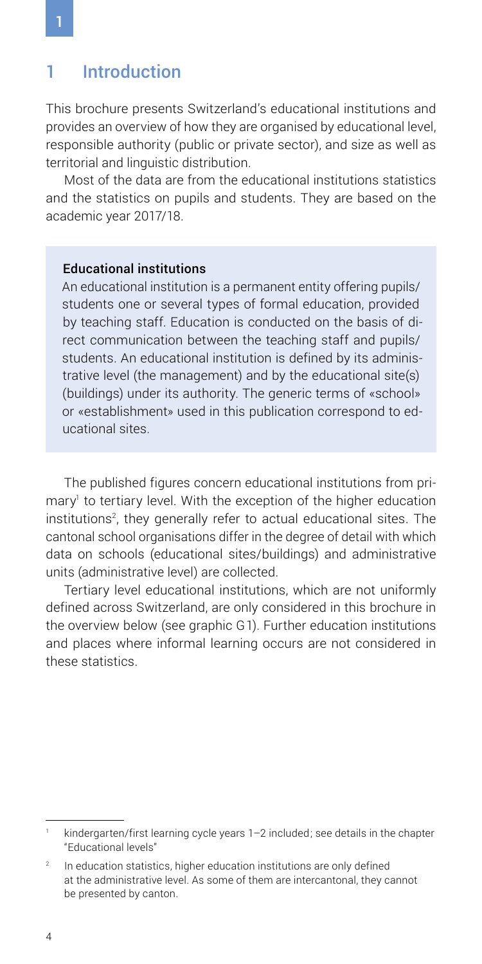### <span id="page-3-0"></span>1 Introduction

This brochure presents Switzerland's educational institutions and provides an overview of how they are organised by educational level, responsible authority (public or private sector), and size as well as territorial and linguistic distribution.

Most of the data are from the educational institutions statistics and the statistics on pupils and students. They are based on the academic year 2017/18.

### Educational institutions

An educational institution is a permanent entity offering pupils/ students one or several types of formal education, provided by teaching staff. Education is conducted on the basis of direct communication between the teaching staff and pupils/ students. An educational institution is defined by its administrative level (the management) and by the educational site(s) (buildings) under its authority. The generic terms of «school» or «establishment» used in this publication correspond to educational sites.

The published figures concern educational institutions from primary<sup>1</sup> to tertiary level. With the exception of the higher education institutions<sup>2</sup>, they generally refer to actual educational sites. The cantonal school organisations differ in the degree of detail with which data on schools (educational sites/buildings) and administrative units (administrative level) are collected.

Tertiary level educational institutions, which are not uniformly defined across Switzerland, are only considered in this brochure in the overview below (see graphic G1). Further education institutions and places where informal learning occurs are not considered in these statistics.

kindergarten/first learning cycle years 1–2 included; see details in the chapter "Educational levels"

In education statistics, higher education institutions are only defined at the administrative level. As some of them are intercantonal, they cannot be presented by canton.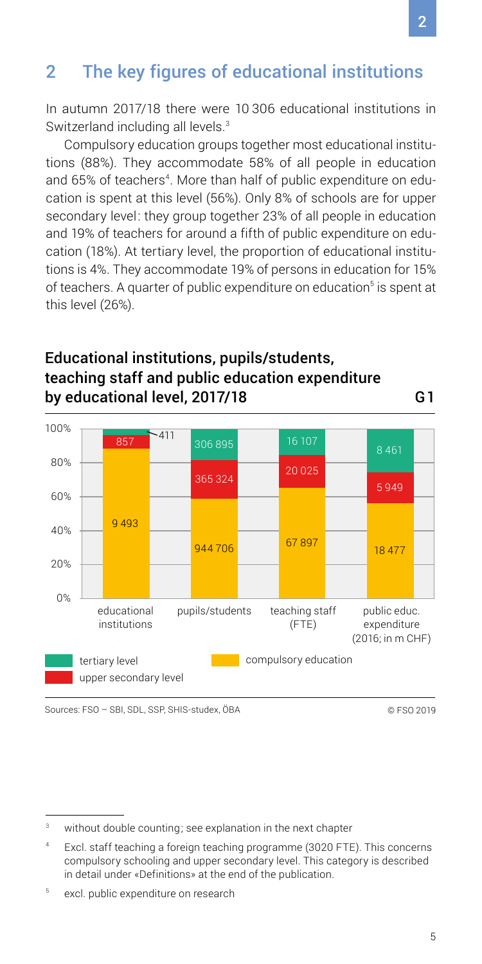# <span id="page-4-0"></span>2 The key figures of educational institutions

In autumn 2017/18 there were 10 306 educational institutions in Switzerland including all levels.<sup>3</sup>

Compulsory education groups together most educational institutions (88%). They accommodate 58% of all people in education and 65% of teachers<sup>4</sup>. More than half of public expenditure on education is spent at this level (56%). Only 8% of schools are for upper secondary level: they group together 23% of all people in education and 19% of teachers for around a fifth of public expenditure on education (18%). At tertiary level, the proportion of educational institutions is 4%. They accommodate 19% of persons in education for 15% of teachers. A quarter of public expenditure on education<sup>s</sup> is spent at this level (26%).

### Educational institutions, pupils/students, teaching staff and public education expenditure by educational level, 2017/18

0% 20% 40% 60% 80% 100% educational institutions pupils/students teaching staff  $(FTF)$ public educ. expenditure (2016; in m CHF) 9 493  $857$   $^{211}$ 944 706 365 324 306 895 67 897 20 025 16 107 18 477 5 949 8 461 compulsory education upper secondary level tertiary level

Sources: FSO – SBI, SDL, SSP, SHIS-studex, ÖBA © FSO 2019

G1

without double counting; see explanation in the next chapter

<sup>4</sup> Excl. staff teaching a foreign teaching programme (3020 FTE). This concerns compulsory schooling and upper secondary level. This category is described in detail under «Definitions» at the end of the publication.

<sup>5</sup> excl. public expenditure on research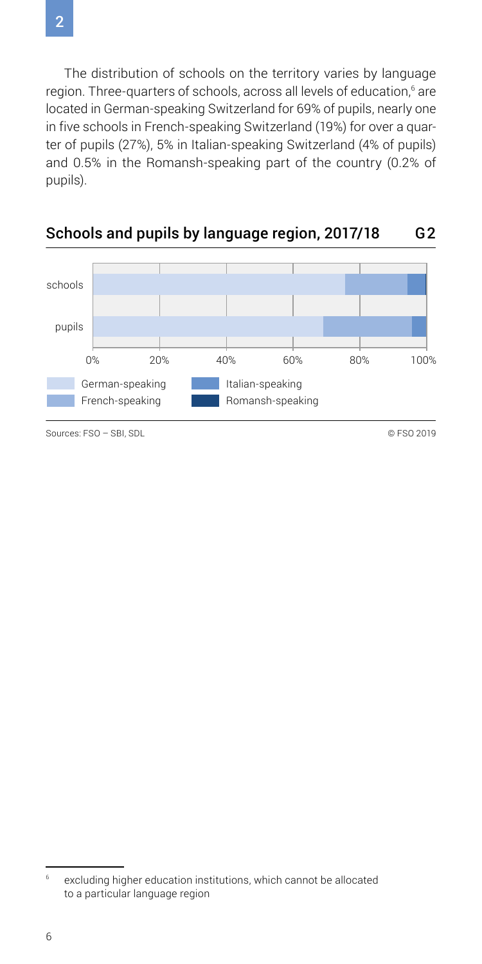The distribution of schools on the territory varies by language region. Three-quarters of schools, across all levels of education,<sup>6</sup> are located in German-speaking Switzerland for 69% of pupils, nearly one in five schools in French-speaking Switzerland (19%) for over a quarter of pupils (27%), 5% in Italian-speaking Switzerland (4% of pupils) and 0.5% in the Romansh-speaking part of the country (0.2% of pupils).



### Schools and pupils by language region, 2017/18 G2

Sources: FSO – SBI, SDL © FSO 2019

 $6$  excluding higher education institutions, which cannot be allocated to a particular language region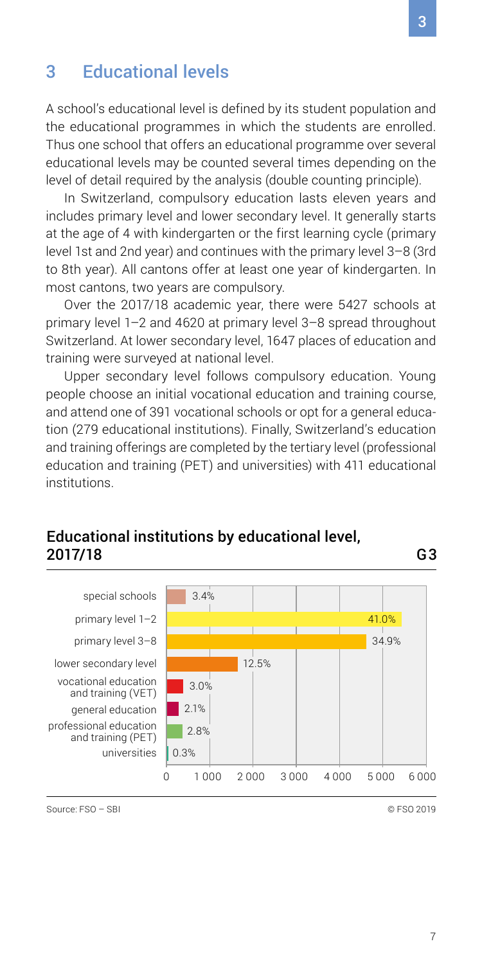### <span id="page-6-0"></span>3 Educational levels

A school's educational level is defined by its student population and the educational programmes in which the students are enrolled. Thus one school that offers an educational programme over several educational levels may be counted several times depending on the level of detail required by the analysis (double counting principle).

In Switzerland, compulsory education lasts eleven years and includes primary level and lower secondary level. It generally starts at the age of 4 with kindergarten or the first learning cycle (primary level 1st and 2nd year) and continues with the primary level 3–8 (3rd to 8th year). All cantons offer at least one year of kindergarten. In most cantons, two years are compulsory.

Over the 2017/18 academic year, there were 5427 schools at primary level 1–2 and 4620 at primary level 3–8 spread throughout Switzerland. At lower secondary level, 1647 places of education and training were surveyed at national level.

Upper secondary level follows compulsory education. Young people choose an initial vocational education and training course, and attend one of 391 vocational schools or opt for a general education (279 educational institutions). Finally, Switzerland's education and training offerings are completed by the tertiary level (professional education and training (PET) and universities) with 411 educational institutions.

### Educational institutions by educational level, 2017/18



Source: FSO – SBI © FSO 2019

G3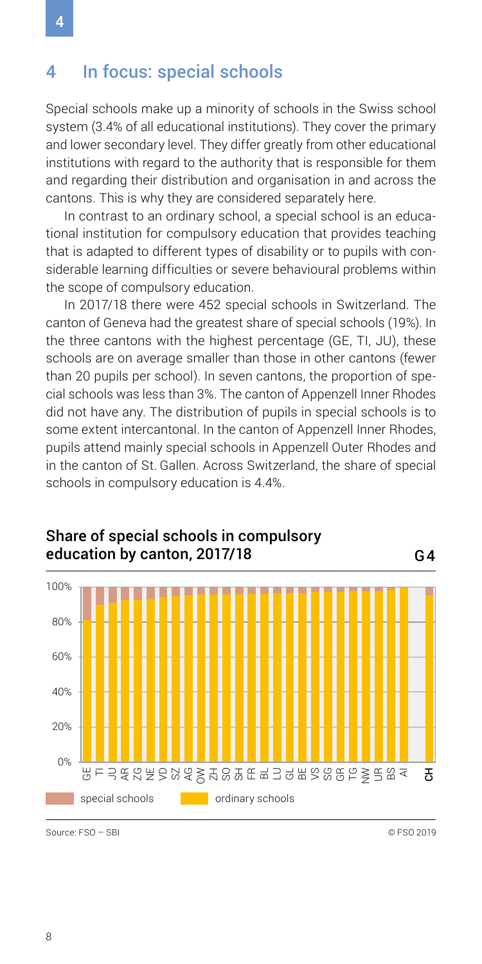### <span id="page-7-0"></span>4 In focus: special schools

Special schools make up a minority of schools in the Swiss school system (3.4% of all educational institutions). They cover the primary and lower secondary level. They differ greatly from other educational institutions with regard to the authority that is responsible for them and regarding their distribution and organisation in and across the cantons. This is why they are considered separately here.

In contrast to an ordinary school, a special school is an educational institution for compulsory education that provides teaching that is adapted to different types of disability or to pupils with considerable learning difficulties or severe behavioural problems within the scope of compulsory education.

In 2017/18 there were 452 special schools in Switzerland. The canton of Geneva had the greatest share of special schools (19%). In the three cantons with the highest percentage (GE, TI, JU), these schools are on average smaller than those in other cantons (fewer than 20 pupils per school). In seven cantons, the proportion of special schools was less than 3%. The canton of Appenzell Inner Rhodes did not have any. The distribution of pupils in special schools is to some extent intercantonal. In the canton of Appenzell Inner Rhodes, pupils attend mainly special schools in Appenzell Outer Rhodes and in the canton of St. Gallen. Across Switzerland, the share of special schools in compulsory education is 4.4%.



### Share of special schools in compulsory education by canton, 2017/18 G4

Source: FSO – SBI © FSO 2019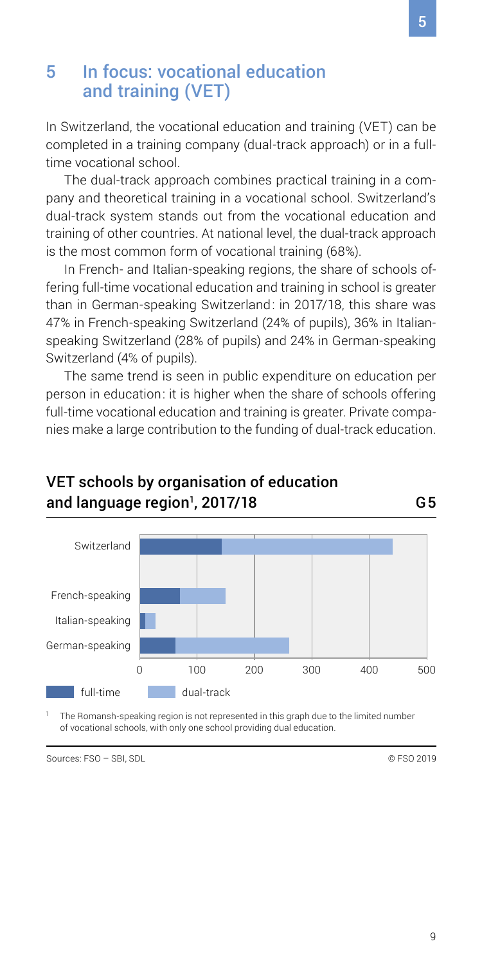### <span id="page-8-0"></span>5 In focus: vocational education and training (VET)

In Switzerland, the vocational education and training (VET) can be completed in a training company (dual-track approach) or in a fulltime vocational school.

The dual-track approach combines practical training in a company and theoretical training in a vocational school. Switzerland's dual-track system stands out from the vocational education and training of other countries. At national level, the dual-track approach is the most common form of vocational training (68%).

In French- and Italian-speaking regions, the share of schools offering full-time vocational education and training in school is greater than in German-speaking Switzerland: in 2017/18, this share was 47% in French-speaking Switzerland (24% of pupils), 36% in Italianspeaking Switzerland (28% of pupils) and 24% in German-speaking Switzerland (4% of pupils).

The same trend is seen in public expenditure on education per person in education: it is higher when the share of schools offering full-time vocational education and training is greater. Private companies make a large contribution to the funding of dual-track education.



### VET schools by organisation of education and language region1 , 2017/18 G5

The Romansh-speaking region is not represented in this graph due to the limited number of vocational schools, with only one school providing dual education.

Sources: FSO – SBL SDL © FSO 2019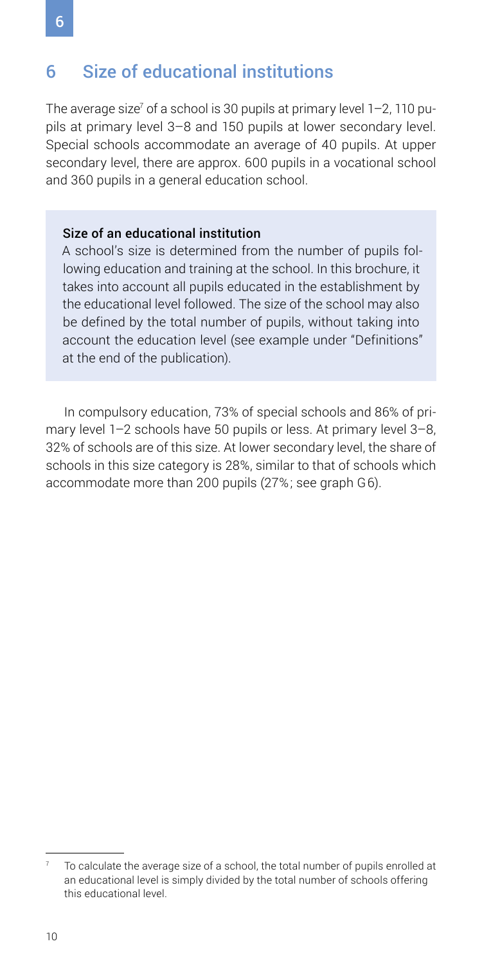## <span id="page-9-0"></span>6 Size of educational institutions

The average size $^{\prime}$  of a school is 30 pupils at primary level 1–2, 110 pupils at primary level 3–8 and 150 pupils at lower secondary level. Special schools accommodate an average of 40 pupils. At upper secondary level, there are approx. 600 pupils in a vocational school and 360 pupils in a general education school.

### Size of an educational institution

A school's size is determined from the number of pupils following education and training at the school. In this brochure, it takes into account all pupils educated in the establishment by the educational level followed. The size of the school may also be defined by the total number of pupils, without taking into account the education level (see example under "Definitions" at the end of the publication).

In compulsory education, 73% of special schools and 86% of primary level 1–2 schools have 50 pupils or less. At primary level 3–8, 32% of schools are of this size. At lower secondary level, the share of schools in this size category is 28%, similar to that of schools which accommodate more than 200 pupils (27%; see graph G6).

<sup>7</sup> To calculate the average size of a school, the total number of pupils enrolled at an educational level is simply divided by the total number of schools offering this educational level.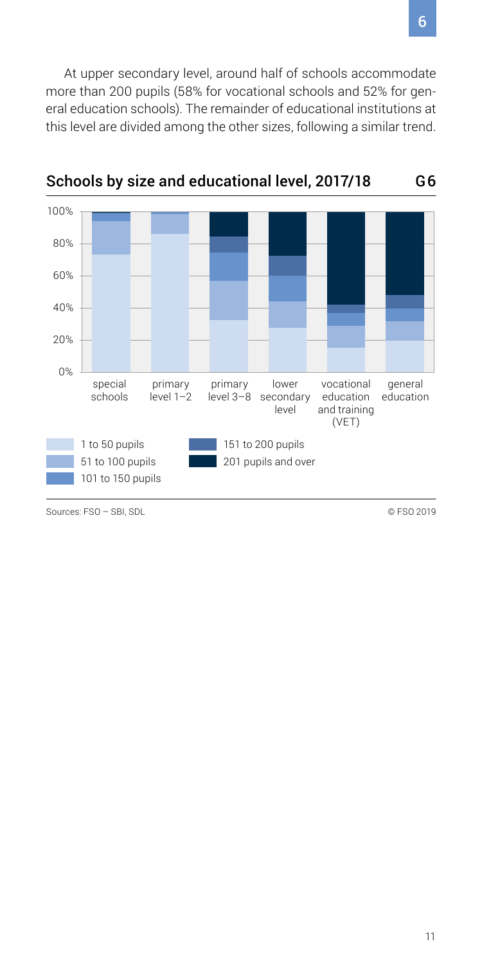At upper secondary level, around half of schools accommodate more than 200 pupils (58% for vocational schools and 52% for general education schools). The remainder of educational institutions at this level are divided among the other sizes, following a similar trend.



Schools by size and educational level, 2017/18

Sources: FSO – SBL SDL © FSO 2019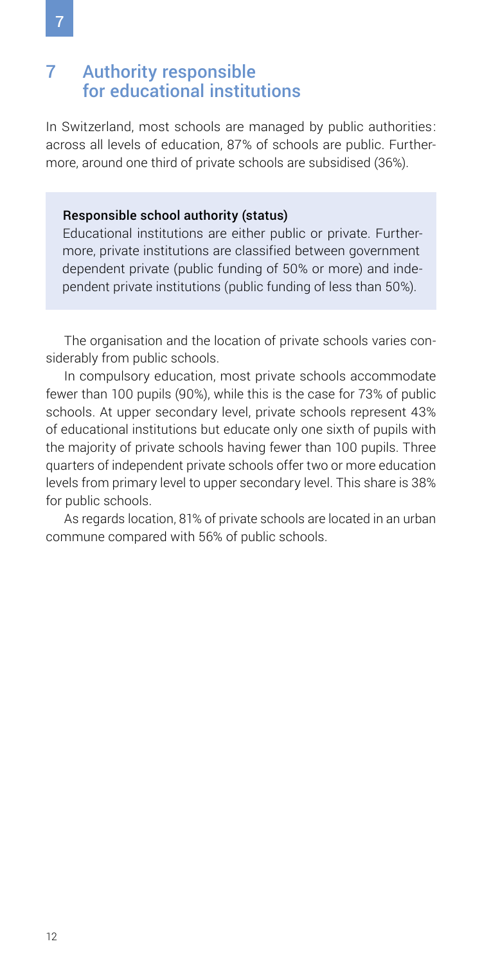### <span id="page-11-0"></span>7 Authority responsible for educational institutions

In Switzerland, most schools are managed by public authorities: across all levels of education, 87% of schools are public. Furthermore, around one third of private schools are subsidised (36%).

### Responsible school authority (status)

Educational institutions are either public or private. Furthermore, private institutions are classified between government dependent private (public funding of 50% or more) and independent private institutions (public funding of less than 50%).

The organisation and the location of private schools varies considerably from public schools.

In compulsory education, most private schools accommodate fewer than 100 pupils (90%), while this is the case for 73% of public schools. At upper secondary level, private schools represent 43% of educational institutions but educate only one sixth of pupils with the majority of private schools having fewer than 100 pupils. Three quarters of independent private schools offer two or more education levels from primary level to upper secondary level. This share is 38% for public schools.

As regards location, 81% of private schools are located in an urban commune compared with 56% of public schools.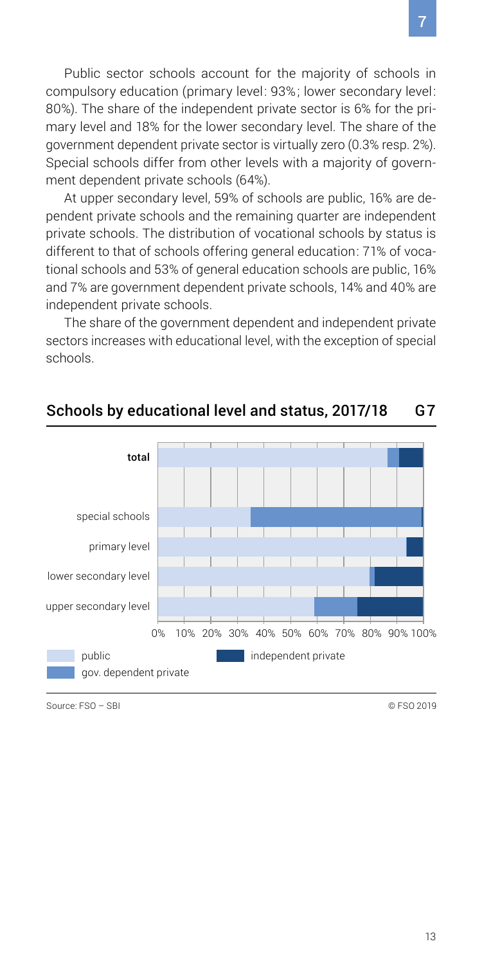Public sector schools account for the majority of schools in compulsory education (primary level: 93%; lower secondary level: 80%). The share of the independent private sector is 6% for the primary level and 18% for the lower secondary level. The share of the government dependent private sector is virtually zero (0.3% resp. 2%). Special schools differ from other levels with a majority of government dependent private schools (64%).

At upper secondary level, 59% of schools are public, 16% are dependent private schools and the remaining quarter are independent private schools. The distribution of vocational schools by status is different to that of schools offering general education: 71% of vocational schools and 53% of general education schools are public, 16% and 7% are government dependent private schools, 14% and 40% are independent private schools.

The share of the government dependent and independent private sectors increases with educational level, with the exception of special schools.



### Schools by educational level and status, 2017/18 G7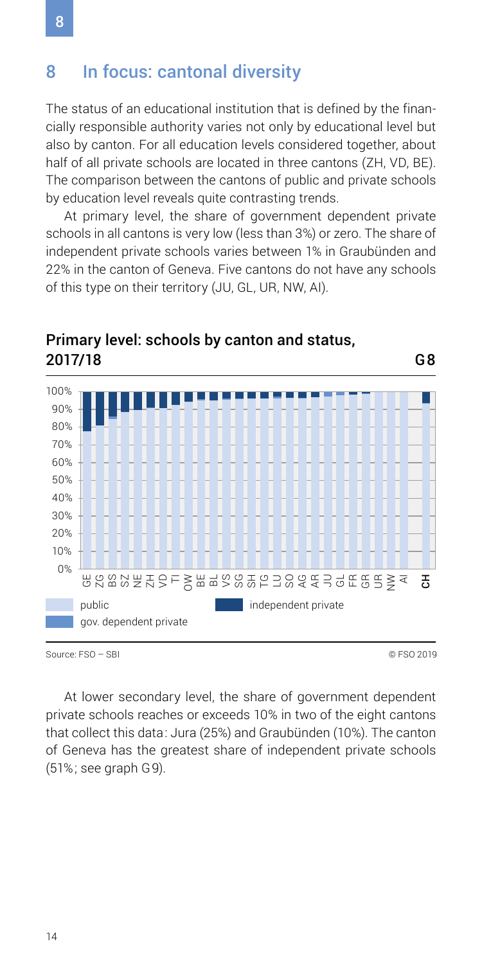### <span id="page-13-0"></span>8 In focus: cantonal diversity

The status of an educational institution that is defined by the financially responsible authority varies not only by educational level but also by canton. For all education levels considered together, about half of all private schools are located in three cantons (ZH, VD, BE). The comparison between the cantons of public and private schools by education level reveals quite contrasting trends.

At primary level, the share of government dependent private schools in all cantons is very low (less than 3%) or zero. The share of independent private schools varies between 1% in Graubünden and 22% in the canton of Geneva. Five cantons do not have any schools of this type on their territory (JU, GL, UR, NW, AI).



### Primary level: schools by canton and status, 2017/18

Source: FSO – SBI © FSO 2019

G8

At lower secondary level, the share of government dependent private schools reaches or exceeds 10% in two of the eight cantons that collect this data: Jura (25%) and Graubünden (10%). The canton of Geneva has the greatest share of independent private schools (51%; see graph G9).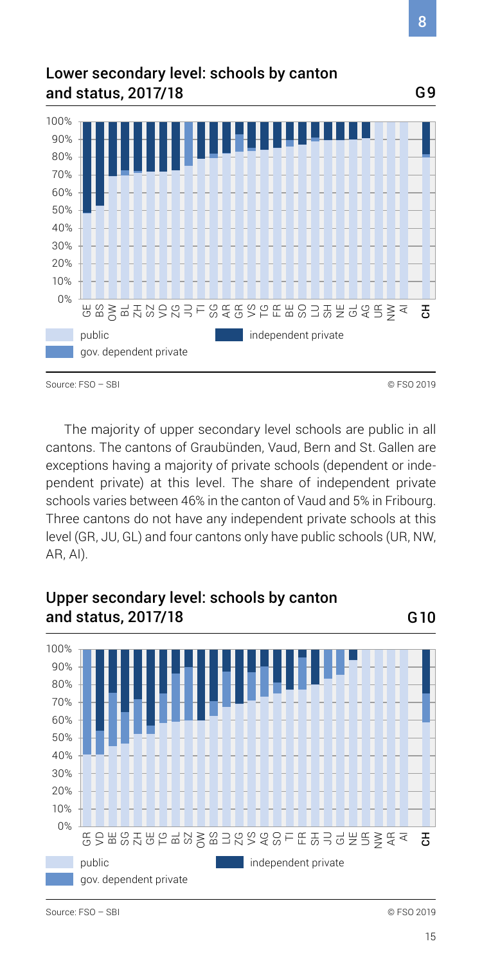### Lower secondary level: schools by canton and status, 2017/18



The majority of upper secondary level schools are public in all cantons. The cantons of Graubünden, Vaud, Bern and St. Gallen are exceptions having a majority of private schools (dependent or independent private) at this level. The share of independent private schools varies between 46% in the canton of Vaud and 5% in Fribourg. Three cantons do not have any independent private schools at this level (GR, JU, GL) and four cantons only have public schools (UR, NW, AR, AI).

### Upper secondary level: schools by canton and status, 2017/18



Source: FSO – SBI © FSO 2019

G10

8

G9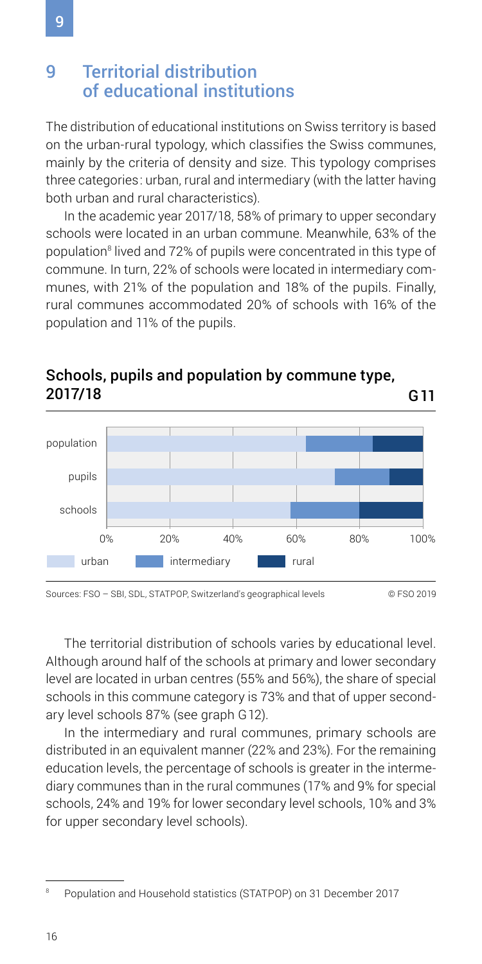### <span id="page-15-0"></span>9 Territorial distribution of educational institutions

The distribution of educational institutions on Swiss territory is based on the urban-rural typology, which classifies the Swiss communes, mainly by the criteria of density and size. This typology comprises three categories: urban, rural and intermediary (with the latter having both urban and rural characteristics).

In the academic year 2017/18, 58% of primary to upper secondary schools were located in an urban commune. Meanwhile, 63% of the population<sup>8</sup> lived and 72% of pupils were concentrated in this type of commune. In turn, 22% of schools were located in intermediary communes, with 21% of the population and 18% of the pupils. Finally, rural communes accommodated 20% of schools with 16% of the population and 11% of the pupils.



# Schools, pupils and population by commune type,

Sources: FSO – SBI, SDL, STATPOP, Switzerland's geographical levels © FSO 2019

The territorial distribution of schools varies by educational level. Although around half of the schools at primary and lower secondary level are located in urban centres (55% and 56%), the share of special schools in this commune category is 73% and that of upper secondary level schools 87% (see graph G12).

In the intermediary and rural communes, primary schools are distributed in an equivalent manner (22% and 23%). For the remaining education levels, the percentage of schools is greater in the intermediary communes than in the rural communes (17% and 9% for special schools, 24% and 19% for lower secondary level schools, 10% and 3% for upper secondary level schools).

<sup>8</sup> Population and Household statistics (STATPOP) on 31 December 2017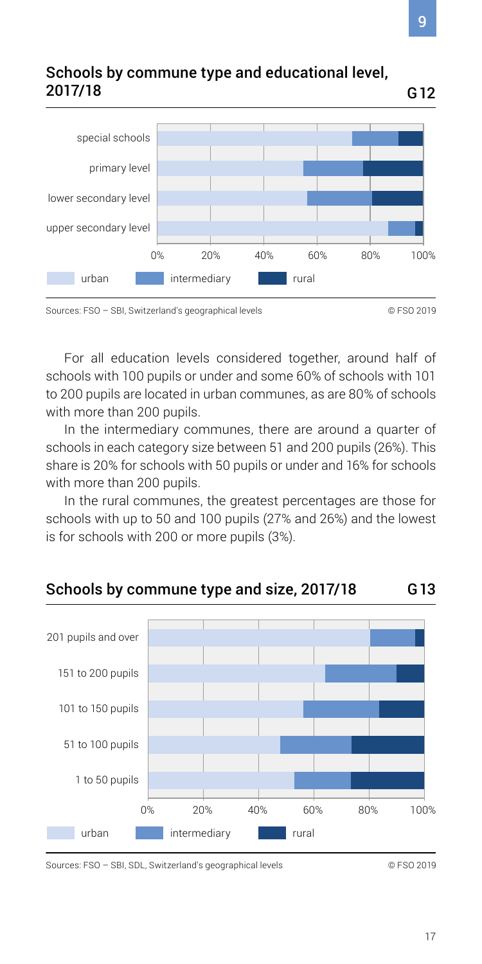

For all education levels considered together, around half of schools with 100 pupils or under and some 60% of schools with 101 to 200 pupils are located in urban communes, as are 80% of schools with more than 200 pupils.

In the intermediary communes, there are around a quarter of schools in each category size between 51 and 200 pupils (26%). This share is 20% for schools with 50 pupils or under and 16% for schools with more than 200 pupils.

In the rural communes, the greatest percentages are those for schools with up to 50 and 100 pupils (27% and 26%) and the lowest is for schools with 200 or more pupils (3%).

### Schools by commune type and size, 2017/18 G13



Sources: FSO – SBI, SDL, Switzerland's geographical levels © FSO 2019

Sources: FSO – SBI, Switzerland's geographical levels © FSO 2019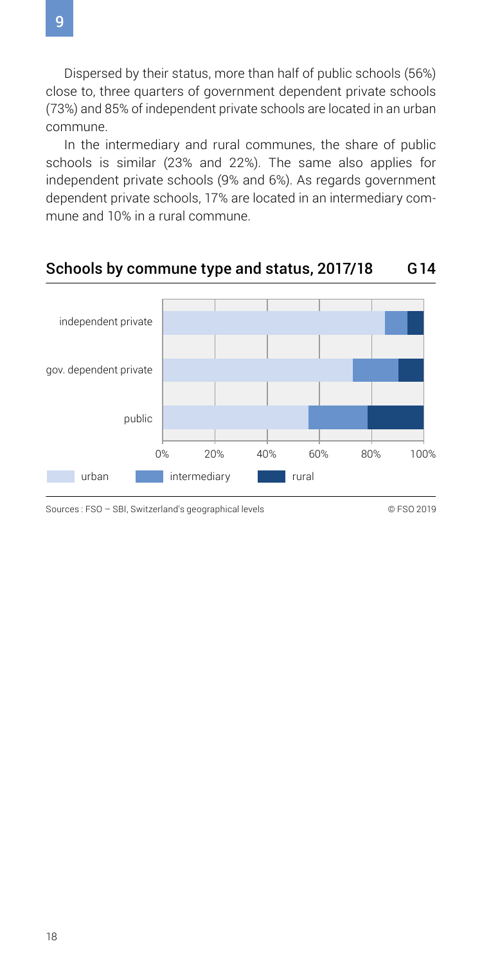Dispersed by their status, more than half of public schools (56%) close to, three quarters of government dependent private schools (73%) and 85% of independent private schools are located in an urban commune.

In the intermediary and rural communes, the share of public schools is similar (23% and 22%). The same also applies for independent private schools (9% and 6%). As regards government dependent private schools, 17% are located in an intermediary commune and 10% in a rural commune.

### Schools by commune type and status, 2017/18 G14



Sources : FSO – SBI, Switzerland's geographical levels © 6 CO 2019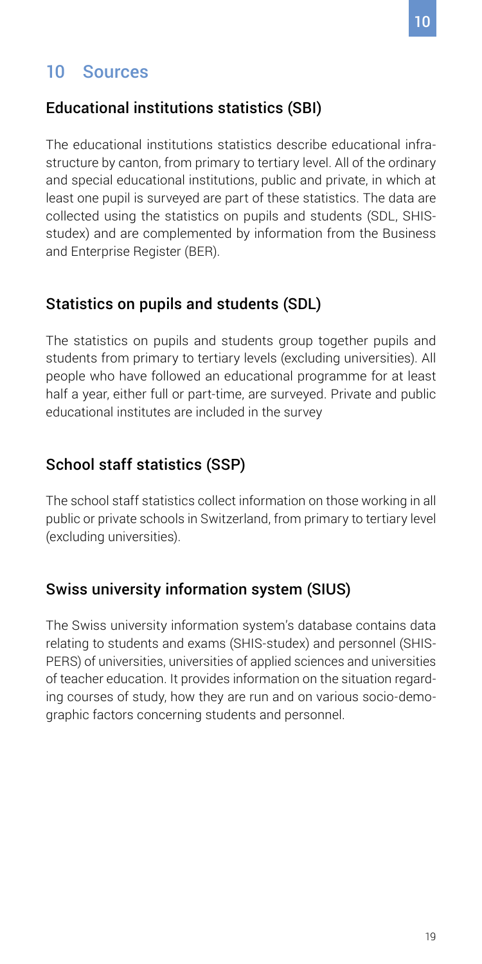# <span id="page-18-0"></span>10 Sources

### Educational institutions statistics (SBI)

The educational institutions statistics describe educational infrastructure by canton, from primary to tertiary level. All of the ordinary and special educational institutions, public and private, in which at least one pupil is surveyed are part of these statistics. The data are collected using the statistics on pupils and students (SDL, SHISstudex) and are complemented by information from the Business and Enterprise Register (BER).

### Statistics on pupils and students (SDL)

The statistics on pupils and students group together pupils and students from primary to tertiary levels (excluding universities). All people who have followed an educational programme for at least half a year, either full or part-time, are surveyed. Private and public educational institutes are included in the survey

## School staff statistics (SSP)

The school staff statistics collect information on those working in all public or private schools in Switzerland, from primary to tertiary level (excluding universities).

### Swiss university information system (SIUS)

The Swiss university information system's database contains data relating to students and exams (SHIS-studex) and personnel (SHIS-PERS) of universities, universities of applied sciences and universities of teacher education. It provides information on the situation regarding courses of study, how they are run and on various socio-demographic factors concerning students and personnel.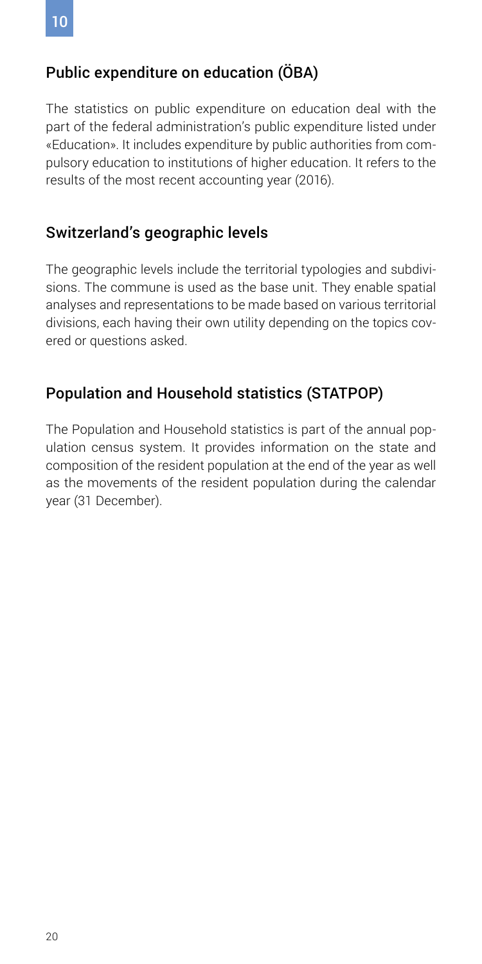### Public expenditure on education (ÖBA)

The statistics on public expenditure on education deal with the part of the federal administration's public expenditure listed under «Education». It includes expenditure by public authorities from compulsory education to institutions of higher education. It refers to the results of the most recent accounting year (2016).

### Switzerland's geographic levels

The geographic levels include the territorial typologies and subdivisions. The commune is used as the base unit. They enable spatial analyses and representations to be made based on various territorial divisions, each having their own utility depending on the topics covered or questions asked.

### Population and Household statistics (STATPOP)

The Population and Household statistics is part of the annual population census system. It provides information on the state and composition of the resident population at the end of the year as well as the movements of the resident population during the calendar year (31 December).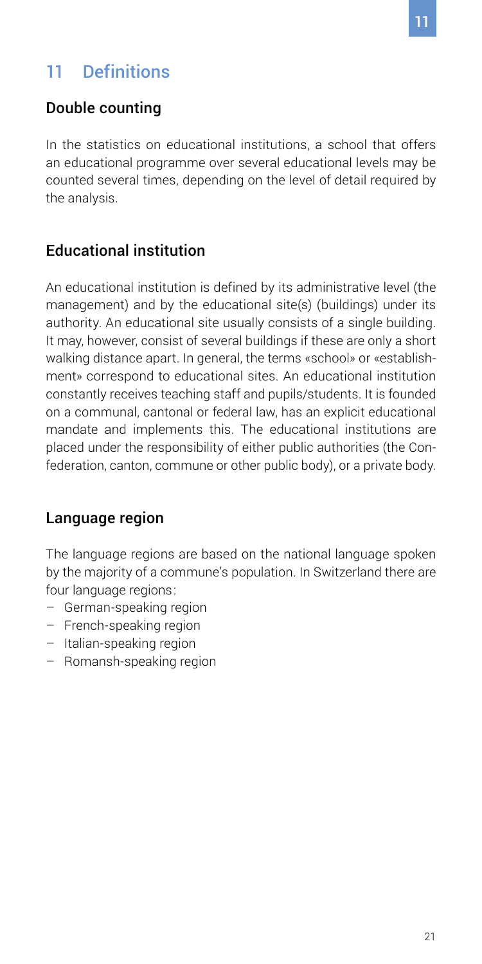# <span id="page-20-0"></span>11 Definitions

### Double counting

In the statistics on educational institutions, a school that offers an educational programme over several educational levels may be counted several times, depending on the level of detail required by the analysis.

### Educational institution

An educational institution is defined by its administrative level (the management) and by the educational site(s) (buildings) under its authority. An educational site usually consists of a single building. It may, however, consist of several buildings if these are only a short walking distance apart. In general, the terms «school» or «establishment» correspond to educational sites. An educational institution constantly receives teaching staff and pupils/students. It is founded on a communal, cantonal or federal law, has an explicit educational mandate and implements this. The educational institutions are placed under the responsibility of either public authorities (the Confederation, canton, commune or other public body), or a private body.

### Language region

The language regions are based on the national language spoken by the majority of a commune's population. In Switzerland there are four language regions:

- German-speaking region
- French-speaking region
- Italian-speaking region
- Romansh-speaking region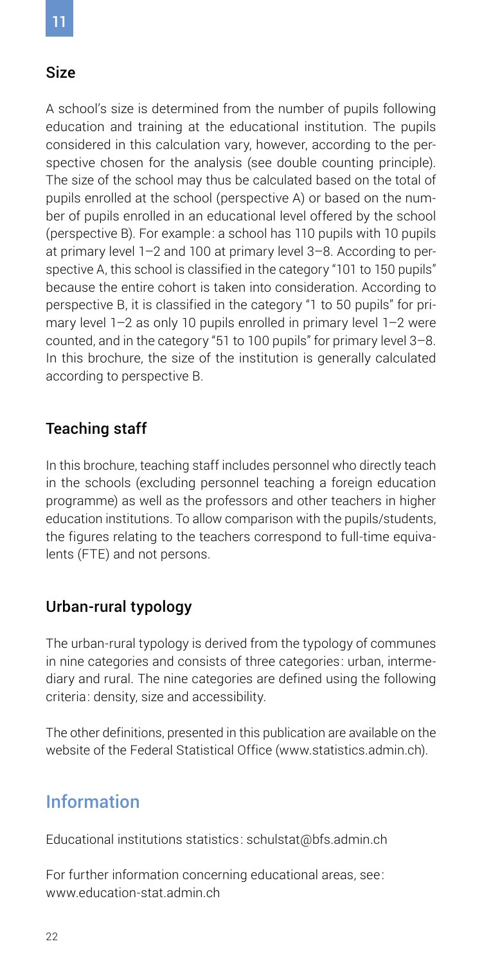### <span id="page-21-0"></span>Size

A school's size is determined from the number of pupils following education and training at the educational institution. The pupils considered in this calculation vary, however, according to the perspective chosen for the analysis (see double counting principle). The size of the school may thus be calculated based on the total of pupils enrolled at the school (perspective A) or based on the number of pupils enrolled in an educational level offered by the school (perspective B). For example: a school has 110 pupils with 10 pupils at primary level 1–2 and 100 at primary level 3–8. According to perspective A, this school is classified in the category "101 to 150 pupils" because the entire cohort is taken into consideration. According to perspective B, it is classified in the category "1 to 50 pupils" for primary level 1–2 as only 10 pupils enrolled in primary level 1–2 were counted, and in the category "51 to 100 pupils" for primary level 3–8. In this brochure, the size of the institution is generally calculated according to perspective B.

### Teaching staff

In this brochure, teaching staff includes personnel who directly teach in the schools (excluding personnel teaching a foreign education programme) as well as the professors and other teachers in higher education institutions. To allow comparison with the pupils/students, the figures relating to the teachers correspond to full-time equivalents (FTE) and not persons.

### Urban-rural typology

The urban-rural typology is derived from the typology of communes in nine categories and consists of three categories: urban, intermediary and rural. The nine categories are defined using the following criteria: density, size and accessibility.

The other definitions, presented in this publication are available on the website of the Federal Statistical Office [\(www.statistics.admin.ch](http://www.statistics.admin.ch)).

# Information

Educational institutions statistics: [schulstat@bfs.admin.ch](mailto:schulstat@bfs.admin.ch)

For further information concerning educational areas, see: [www.education-stat.admin.ch](http://www.education-stat.admin.ch)